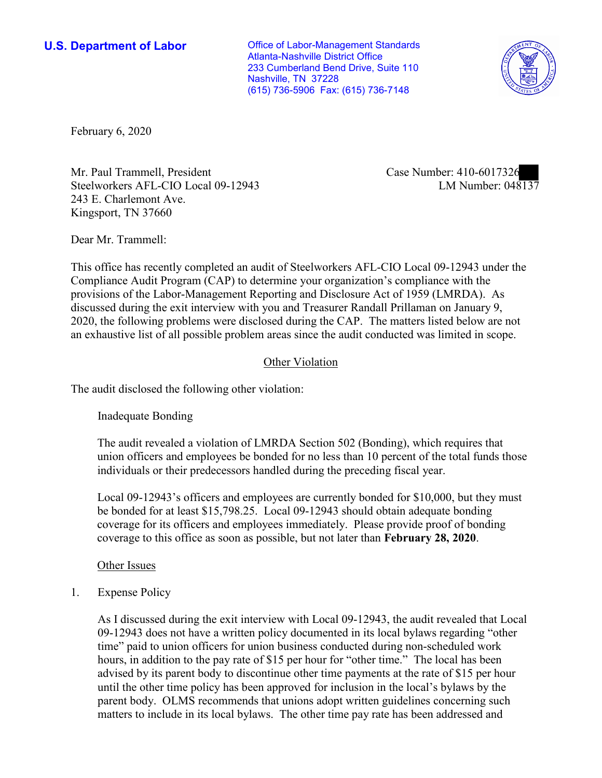**U.S. Department of Labor Conservative Conservative Conservative Conservative Conservative Conservative Conservative Conservative Conservative Conservative Conservative Conservative Conservative Conservative Conservative** Atlanta-Nashville District Office 233 Cumberland Bend Drive, Suite 110 Nashville, TN 37228 (615) 736-5906 Fax: (615) 736-7148



February 6, 2020

Mr. Paul Trammell, President Case Number: 410-6017326 Steelworkers AFL-CIO Local 09-12943 243 E. Charlemont Ave. Kingsport, TN 37660

LM Number: 048137

Dear Mr. Trammell:

 This office has recently completed an audit of Steelworkers AFL-CIO Local 09-12943 under the Compliance Audit Program (CAP) to determine your organization's compliance with the provisions of the Labor-Management Reporting and Disclosure Act of 1959 (LMRDA). As discussed during the exit interview with you and Treasurer Randall Prillaman on January 9, 2020, the following problems were disclosed during the CAP. The matters listed below are not an exhaustive list of all possible problem areas since the audit conducted was limited in scope.

## Other Violation

The audit disclosed the following other violation:

Inadequate Bonding

 individuals or their predecessors handled during the preceding fiscal year. The audit revealed a violation of LMRDA Section 502 (Bonding), which requires that union officers and employees be bonded for no less than 10 percent of the total funds those

 be bonded for at least [\\$15,798.25](https://15,798.25). Local 09-12943 should obtain adequate bonding coverage for its officers and employees immediately. Please provide proof of bonding Local 09-12943's officers and employees are currently bonded for \$10,000, but they must coverage to this office as soon as possible, but not later than **February 28, 2020**.

Other Issues

1. Expense Policy

 As I discussed during the exit interview with Local 09-12943, the audit revealed that Local hours, in addition to the pay rate of \$15 per hour for "other time." The local has been 09-12943 does not have a written policy documented in its local bylaws regarding "other time" paid to union officers for union business conducted during non-scheduled work advised by its parent body to discontinue other time payments at the rate of \$15 per hour until the other time policy has been approved for inclusion in the local's bylaws by the parent body. OLMS recommends that unions adopt written guidelines concerning such matters to include in its local bylaws. The other time pay rate has been addressed and